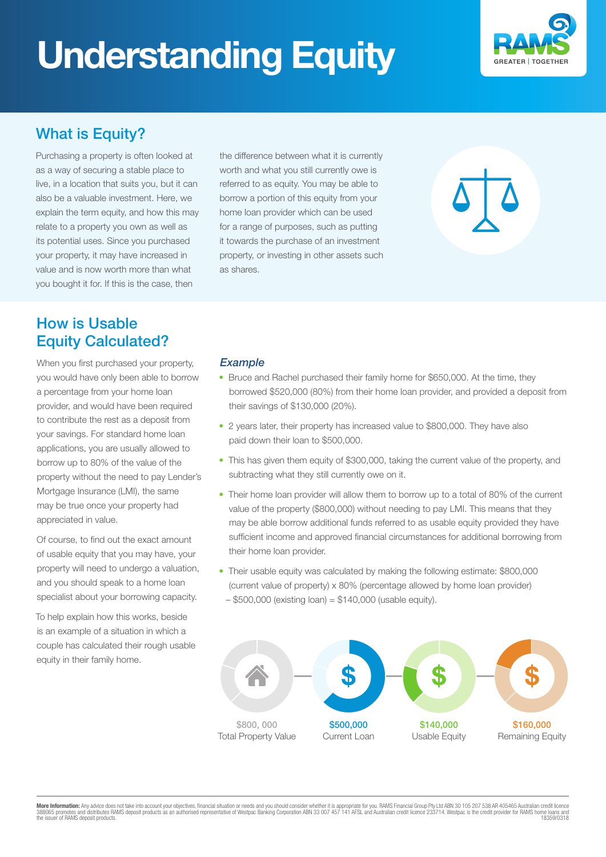# **Understanding Equity**



## What is Equity?

Purchasing a property is often looked at as a way of securing a stable place to live, in a location that suits you, but it can also be a valuable investment. Here, we explain the term equity, and how this may relate to a property you own as well as its potential uses. Since you purchased your property, it may have increased in value and is now worth more than what you bought it for. If this is the case, then

the difference between what it is currently worth and what you still currently owe is referred to as equity. You may be able to borrow a portion of this equity from your home loan provider which can be used for a range of purposes, such as putting it towards the purchase of an investment property, or investing in other assets such as shares.

### How is Usable Equity Calculated?

When you first purchased your property, you would have only been able to borrow a percentage from your home loan provider, and would have been required to contribute the rest as a deposit from your savings. For standard home loan applications, you are usually allowed to borrow up to 80% of the value of the property without the need to pay Lender's Mortgage Insurance (LMI), the same may be true once your property had appreciated in value.

Of course, to find out the exact amount of usable equity that you may have, your property will need to undergo a valuation, and you should speak to a home loan specialist about your borrowing capacity.

To help explain how this works, beside is an example of a situation in which a couple has calculated their rough usable equity in their family home.

#### *Example*

- Bruce and Rachel purchased their family home for \$650,000. At the time, they borrowed \$520,000 (80%) from their home loan provider, and provided a deposit from their savings of \$130,000 (20%).
- 2 years later, their property has increased value to \$800,000. They have also paid down their loan to \$500,000.
- This has given them equity of \$300,000, taking the current value of the property, and subtracting what they still currently owe on it.
- Their home loan provider will allow them to borrow up to a total of 80% of the current value of the property (\$800,000) without needing to pay LMI. This means that they may be able borrow additional funds referred to as usable equity provided they have sufficient income and approved financial circumstances for additional borrowing from their home loan provider.
- Their usable equity was calculated by making the following estimate: \$800,000 (current value of property) x 80% (percentage allowed by home loan provider)  $-$  \$500,000 (existing loan) = \$140,000 (usable equity).



**More Information:** Any advice does not take into account your objectives, financial situation or needs and you should consider whether it is appropriate for you. RAMS Financial Group Pty Ltd ABN 30 105 207 538 AR 405465 A